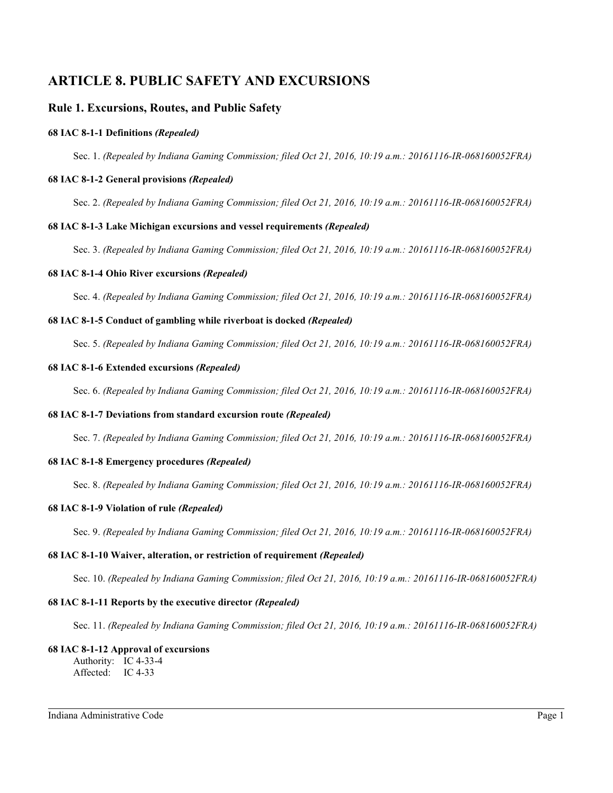# **ARTICLE 8. PUBLIC SAFETY AND EXCURSIONS**

## **Rule 1. Excursions, Routes, and Public Safety**

## **68 IAC 8-1-1 Definitions** *(Repealed)*

Sec. 1. *(Repealed by Indiana Gaming Commission; filed Oct 21, 2016, 10:19 a.m.: 20161116-IR-068160052FRA)*

#### **68 IAC 8-1-2 General provisions** *(Repealed)*

Sec. 2. *(Repealed by Indiana Gaming Commission; filed Oct 21, 2016, 10:19 a.m.: 20161116-IR-068160052FRA)*

#### **68 IAC 8-1-3 Lake Michigan excursions and vessel requirements** *(Repealed)*

Sec. 3. *(Repealed by Indiana Gaming Commission; filed Oct 21, 2016, 10:19 a.m.: 20161116-IR-068160052FRA)*

#### **68 IAC 8-1-4 Ohio River excursions** *(Repealed)*

Sec. 4. *(Repealed by Indiana Gaming Commission; filed Oct 21, 2016, 10:19 a.m.: 20161116-IR-068160052FRA)*

#### **68 IAC 8-1-5 Conduct of gambling while riverboat is docked** *(Repealed)*

Sec. 5. *(Repealed by Indiana Gaming Commission; filed Oct 21, 2016, 10:19 a.m.: 20161116-IR-068160052FRA)*

## **68 IAC 8-1-6 Extended excursions** *(Repealed)*

Sec. 6. *(Repealed by Indiana Gaming Commission; filed Oct 21, 2016, 10:19 a.m.: 20161116-IR-068160052FRA)*

## **68 IAC 8-1-7 Deviations from standard excursion route** *(Repealed)*

Sec. 7. *(Repealed by Indiana Gaming Commission; filed Oct 21, 2016, 10:19 a.m.: 20161116-IR-068160052FRA)*

## **68 IAC 8-1-8 Emergency procedures** *(Repealed)*

Sec. 8. *(Repealed by Indiana Gaming Commission; filed Oct 21, 2016, 10:19 a.m.: 20161116-IR-068160052FRA)*

#### **68 IAC 8-1-9 Violation of rule** *(Repealed)*

Sec. 9. *(Repealed by Indiana Gaming Commission; filed Oct 21, 2016, 10:19 a.m.: 20161116-IR-068160052FRA)*

## **68 IAC 8-1-10 Waiver, alteration, or restriction of requirement** *(Repealed)*

Sec. 10. *(Repealed by Indiana Gaming Commission; filed Oct 21, 2016, 10:19 a.m.: 20161116-IR-068160052FRA)*

## **68 IAC 8-1-11 Reports by the executive director** *(Repealed)*

Sec. 11. *(Repealed by Indiana Gaming Commission; filed Oct 21, 2016, 10:19 a.m.: 20161116-IR-068160052FRA)*

#### **68 IAC 8-1-12 Approval of excursions**

Authority: IC 4-33-4 Affected: IC 4-33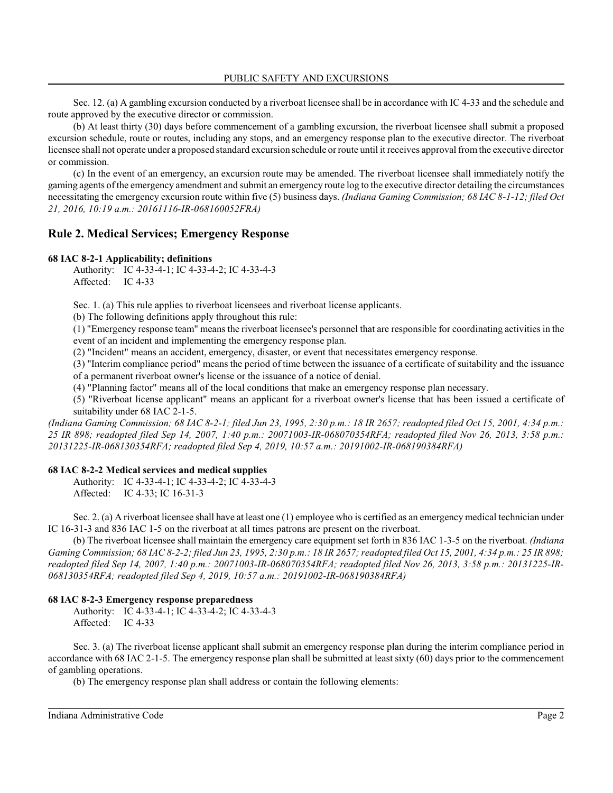Sec. 12. (a) A gambling excursion conducted by a riverboat licensee shall be in accordance with IC 4-33 and the schedule and route approved by the executive director or commission.

(b) At least thirty (30) days before commencement of a gambling excursion, the riverboat licensee shall submit a proposed excursion schedule, route or routes, including any stops, and an emergency response plan to the executive director. The riverboat licensee shall not operate under a proposed standard excursion schedule or route until it receives approval fromthe executive director or commission.

(c) In the event of an emergency, an excursion route may be amended. The riverboat licensee shall immediately notify the gaming agents of the emergency amendment and submit an emergency route log to the executive director detailing the circumstances necessitating the emergency excursion route within five (5) business days. *(Indiana Gaming Commission; 68 IAC 8-1-12; filed Oct 21, 2016, 10:19 a.m.: 20161116-IR-068160052FRA)*

## **Rule 2. Medical Services; Emergency Response**

#### **68 IAC 8-2-1 Applicability; definitions**

Authority: IC 4-33-4-1; IC 4-33-4-2; IC 4-33-4-3 Affected: IC 4-33

Sec. 1. (a) This rule applies to riverboat licensees and riverboat license applicants.

(b) The following definitions apply throughout this rule:

(1) "Emergency response team" means the riverboat licensee's personnel that are responsible for coordinating activities in the event of an incident and implementing the emergency response plan.

(2) "Incident" means an accident, emergency, disaster, or event that necessitates emergency response.

(3) "Interim compliance period" means the period of time between the issuance of a certificate of suitability and the issuance of a permanent riverboat owner's license or the issuance of a notice of denial.

(4) "Planning factor" means all of the local conditions that make an emergency response plan necessary.

(5) "Riverboat license applicant" means an applicant for a riverboat owner's license that has been issued a certificate of suitability under 68 IAC 2-1-5.

*(Indiana Gaming Commission; 68 IAC 8-2-1; filed Jun 23, 1995, 2:30 p.m.: 18 IR 2657; readopted filed Oct 15, 2001, 4:34 p.m.: 25 IR 898; readopted filed Sep 14, 2007, 1:40 p.m.: 20071003-IR-068070354RFA; readopted filed Nov 26, 2013, 3:58 p.m.: 20131225-IR-068130354RFA; readopted filed Sep 4, 2019, 10:57 a.m.: 20191002-IR-068190384RFA)*

## **68 IAC 8-2-2 Medical services and medical supplies**

Authority: IC 4-33-4-1; IC 4-33-4-2; IC 4-33-4-3 Affected: IC 4-33; IC 16-31-3

Sec. 2. (a) A riverboat licensee shall have at least one (1) employee who is certified as an emergency medical technician under IC 16-31-3 and 836 IAC 1-5 on the riverboat at all times patrons are present on the riverboat.

(b) The riverboat licensee shall maintain the emergency care equipment set forth in 836 IAC 1-3-5 on the riverboat. *(Indiana Gaming Commission; 68 IAC 8-2-2; filed Jun 23, 1995, 2:30 p.m.: 18 IR 2657; readopted filed Oct 15, 2001, 4:34 p.m.: 25 IR 898; readopted filed Sep 14, 2007, 1:40 p.m.: 20071003-IR-068070354RFA; readopted filed Nov 26, 2013, 3:58 p.m.: 20131225-IR-068130354RFA; readopted filed Sep 4, 2019, 10:57 a.m.: 20191002-IR-068190384RFA)*

## **68 IAC 8-2-3 Emergency response preparedness**

Authority: IC 4-33-4-1; IC 4-33-4-2; IC 4-33-4-3 Affected: IC 4-33

Sec. 3. (a) The riverboat license applicant shall submit an emergency response plan during the interim compliance period in accordance with 68 IAC 2-1-5. The emergency response plan shall be submitted at least sixty (60) days prior to the commencement of gambling operations.

(b) The emergency response plan shall address or contain the following elements: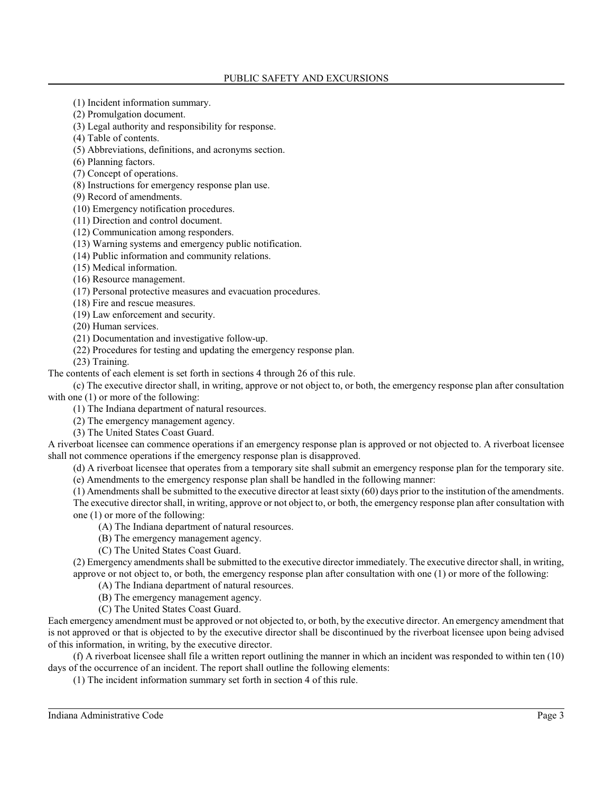(1) Incident information summary.

(2) Promulgation document.

(3) Legal authority and responsibility for response.

(4) Table of contents.

(5) Abbreviations, definitions, and acronyms section.

(6) Planning factors.

(7) Concept of operations.

(8) Instructions for emergency response plan use.

(9) Record of amendments.

(10) Emergency notification procedures.

(11) Direction and control document.

(12) Communication among responders.

(13) Warning systems and emergency public notification.

(14) Public information and community relations.

(15) Medical information.

(16) Resource management.

(17) Personal protective measures and evacuation procedures.

(18) Fire and rescue measures.

(19) Law enforcement and security.

(20) Human services.

(21) Documentation and investigative follow-up.

(22) Procedures for testing and updating the emergency response plan.

(23) Training.

The contents of each element is set forth in sections 4 through 26 of this rule.

(c) The executive director shall, in writing, approve or not object to, or both, the emergency response plan after consultation with one  $(1)$  or more of the following:

(1) The Indiana department of natural resources.

(2) The emergency management agency.

(3) The United States Coast Guard.

A riverboat licensee can commence operations if an emergency response plan is approved or not objected to. A riverboat licensee shall not commence operations if the emergency response plan is disapproved.

(d) A riverboat licensee that operates from a temporary site shall submit an emergency response plan for the temporary site.

(e) Amendments to the emergency response plan shall be handled in the following manner:

(1) Amendments shall be submitted to the executive director at least sixty (60) days prior to the institution of the amendments. The executive director shall, in writing, approve or not object to, or both, the emergency response plan after consultation with one (1) or more of the following:

(A) The Indiana department of natural resources.

(B) The emergency management agency.

(C) The United States Coast Guard.

(2) Emergency amendments shall be submitted to the executive director immediately. The executive director shall, in writing, approve or not object to, or both, the emergency response plan after consultation with one (1) or more of the following:

- (A) The Indiana department of natural resources.
- (B) The emergency management agency.
- (C) The United States Coast Guard.

Each emergency amendment must be approved or not objected to, or both, by the executive director. An emergency amendment that is not approved or that is objected to by the executive director shall be discontinued by the riverboat licensee upon being advised of this information, in writing, by the executive director.

(f) A riverboat licensee shall file a written report outlining the manner in which an incident was responded to within ten (10) days of the occurrence of an incident. The report shall outline the following elements:

(1) The incident information summary set forth in section 4 of this rule.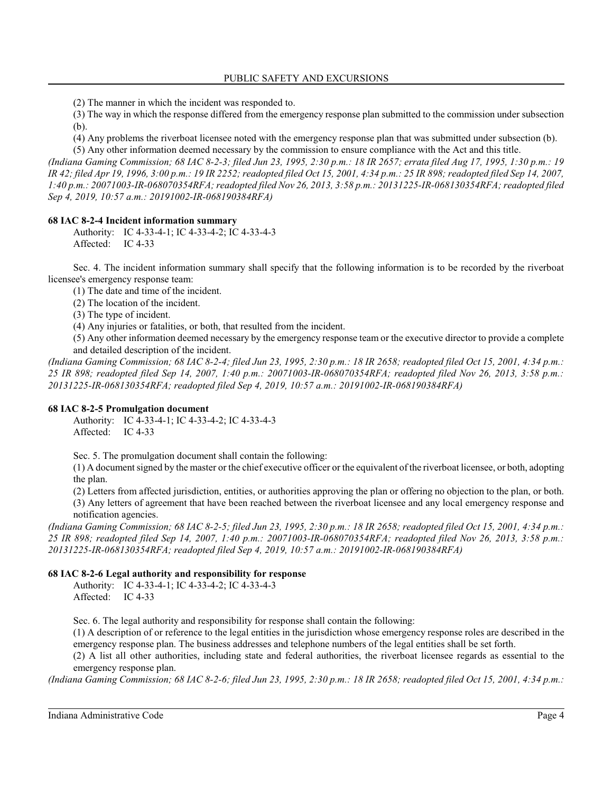(2) The manner in which the incident was responded to.

(3) The way in which the response differed from the emergency response plan submitted to the commission under subsection (b).

(4) Any problems the riverboat licensee noted with the emergency response plan that was submitted under subsection (b).

(5) Any other information deemed necessary by the commission to ensure compliance with the Act and this title. *(Indiana Gaming Commission; 68 IAC 8-2-3; filed Jun 23, 1995, 2:30 p.m.: 18 IR 2657; errata filed Aug 17, 1995, 1:30 p.m.: 19 IR 42; filed Apr 19, 1996, 3:00 p.m.: 19 IR 2252; readopted filed Oct 15, 2001, 4:34 p.m.: 25 IR 898; readopted filed Sep 14, 2007, 1:40 p.m.: 20071003-IR-068070354RFA; readopted filed Nov 26, 2013, 3:58 p.m.: 20131225-IR-068130354RFA; readopted filed Sep 4, 2019, 10:57 a.m.: 20191002-IR-068190384RFA)*

## **68 IAC 8-2-4 Incident information summary**

Authority: IC 4-33-4-1; IC 4-33-4-2; IC 4-33-4-3 Affected: IC 4-33

Sec. 4. The incident information summary shall specify that the following information is to be recorded by the riverboat licensee's emergency response team:

(1) The date and time of the incident.

(2) The location of the incident.

(3) The type of incident.

(4) Any injuries or fatalities, or both, that resulted from the incident.

(5) Any other information deemed necessary by the emergency response team or the executive director to provide a complete and detailed description of the incident.

*(Indiana Gaming Commission; 68 IAC 8-2-4; filed Jun 23, 1995, 2:30 p.m.: 18 IR 2658; readopted filed Oct 15, 2001, 4:34 p.m.: 25 IR 898; readopted filed Sep 14, 2007, 1:40 p.m.: 20071003-IR-068070354RFA; readopted filed Nov 26, 2013, 3:58 p.m.: 20131225-IR-068130354RFA; readopted filed Sep 4, 2019, 10:57 a.m.: 20191002-IR-068190384RFA)*

## **68 IAC 8-2-5 Promulgation document**

Authority: IC 4-33-4-1; IC 4-33-4-2; IC 4-33-4-3 Affected: IC 4-33

Sec. 5. The promulgation document shall contain the following:

(1) A document signed by the master or the chief executive officer or the equivalent ofthe riverboat licensee, or both, adopting the plan.

(2) Letters from affected jurisdiction, entities, or authorities approving the plan or offering no objection to the plan, or both. (3) Any letters of agreement that have been reached between the riverboat licensee and any local emergency response and notification agencies.

*(Indiana Gaming Commission; 68 IAC 8-2-5; filed Jun 23, 1995, 2:30 p.m.: 18 IR 2658; readopted filed Oct 15, 2001, 4:34 p.m.: 25 IR 898; readopted filed Sep 14, 2007, 1:40 p.m.: 20071003-IR-068070354RFA; readopted filed Nov 26, 2013, 3:58 p.m.: 20131225-IR-068130354RFA; readopted filed Sep 4, 2019, 10:57 a.m.: 20191002-IR-068190384RFA)*

## **68 IAC 8-2-6 Legal authority and responsibility for response**

Authority: IC 4-33-4-1; IC 4-33-4-2; IC 4-33-4-3 Affected: IC 4-33

Sec. 6. The legal authority and responsibility for response shall contain the following:

(1) A description of or reference to the legal entities in the jurisdiction whose emergency response roles are described in the emergency response plan. The business addresses and telephone numbers of the legal entities shall be set forth.

(2) A list all other authorities, including state and federal authorities, the riverboat licensee regards as essential to the emergency response plan.

*(Indiana Gaming Commission; 68 IAC 8-2-6; filed Jun 23, 1995, 2:30 p.m.: 18 IR 2658; readopted filed Oct 15, 2001, 4:34 p.m.:*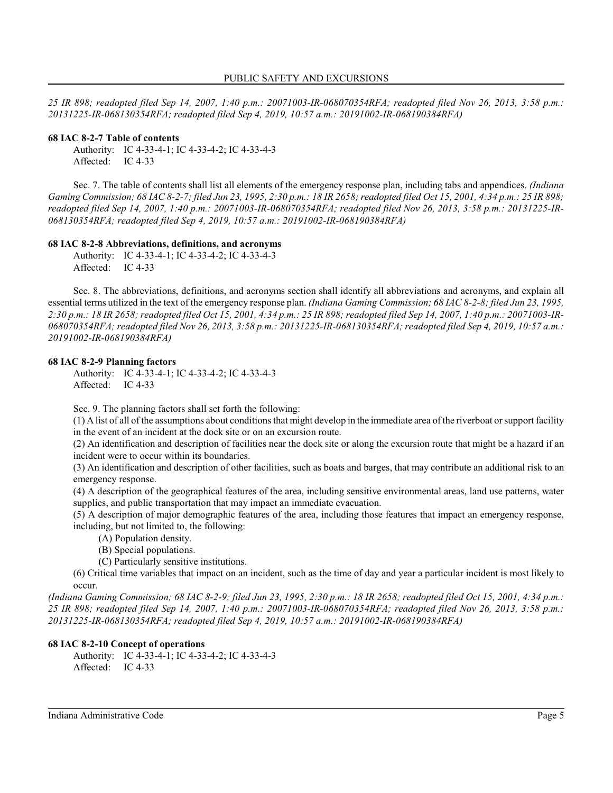*25 IR 898; readopted filed Sep 14, 2007, 1:40 p.m.: 20071003-IR-068070354RFA; readopted filed Nov 26, 2013, 3:58 p.m.: 20131225-IR-068130354RFA; readopted filed Sep 4, 2019, 10:57 a.m.: 20191002-IR-068190384RFA)*

#### **68 IAC 8-2-7 Table of contents**

Authority: IC 4-33-4-1; IC 4-33-4-2; IC 4-33-4-3 Affected: IC 4-33

Sec. 7. The table of contents shall list all elements of the emergency response plan, including tabs and appendices. *(Indiana Gaming Commission; 68 IAC 8-2-7; filed Jun 23, 1995, 2:30 p.m.: 18 IR 2658; readopted filed Oct 15, 2001, 4:34 p.m.: 25 IR 898; readopted filed Sep 14, 2007, 1:40 p.m.: 20071003-IR-068070354RFA; readopted filed Nov 26, 2013, 3:58 p.m.: 20131225-IR-068130354RFA; readopted filed Sep 4, 2019, 10:57 a.m.: 20191002-IR-068190384RFA)*

#### **68 IAC 8-2-8 Abbreviations, definitions, and acronyms**

Authority: IC 4-33-4-1; IC 4-33-4-2; IC 4-33-4-3 Affected: IC 4-33

Sec. 8. The abbreviations, definitions, and acronyms section shall identify all abbreviations and acronyms, and explain all essential terms utilized in the text of the emergency response plan. *(Indiana Gaming Commission; 68 IAC 8-2-8; filed Jun 23, 1995, 2:30 p.m.: 18 IR 2658; readopted filed Oct 15, 2001, 4:34 p.m.: 25 IR 898; readopted filed Sep 14, 2007, 1:40 p.m.: 20071003-IR-068070354RFA; readopted filed Nov 26, 2013, 3:58 p.m.: 20131225-IR-068130354RFA; readopted filed Sep 4, 2019, 10:57 a.m.: 20191002-IR-068190384RFA)*

#### **68 IAC 8-2-9 Planning factors**

Authority: IC 4-33-4-1; IC 4-33-4-2; IC 4-33-4-3 Affected: IC 4-33

Sec. 9. The planning factors shall set forth the following:

(1) A list of all of the assumptions about conditions that might develop in the immediate area ofthe riverboat or support facility in the event of an incident at the dock site or on an excursion route.

(2) An identification and description of facilities near the dock site or along the excursion route that might be a hazard if an incident were to occur within its boundaries.

(3) An identification and description of other facilities, such as boats and barges, that may contribute an additional risk to an emergency response.

(4) A description of the geographical features of the area, including sensitive environmental areas, land use patterns, water supplies, and public transportation that may impact an immediate evacuation.

(5) A description of major demographic features of the area, including those features that impact an emergency response, including, but not limited to, the following:

- (A) Population density.
- (B) Special populations.
- (C) Particularly sensitive institutions.

(6) Critical time variables that impact on an incident, such as the time of day and year a particular incident is most likely to occur.

*(Indiana Gaming Commission; 68 IAC 8-2-9; filed Jun 23, 1995, 2:30 p.m.: 18 IR 2658; readopted filed Oct 15, 2001, 4:34 p.m.: 25 IR 898; readopted filed Sep 14, 2007, 1:40 p.m.: 20071003-IR-068070354RFA; readopted filed Nov 26, 2013, 3:58 p.m.: 20131225-IR-068130354RFA; readopted filed Sep 4, 2019, 10:57 a.m.: 20191002-IR-068190384RFA)*

#### **68 IAC 8-2-10 Concept of operations**

Authority: IC 4-33-4-1; IC 4-33-4-2; IC 4-33-4-3 Affected: IC 4-33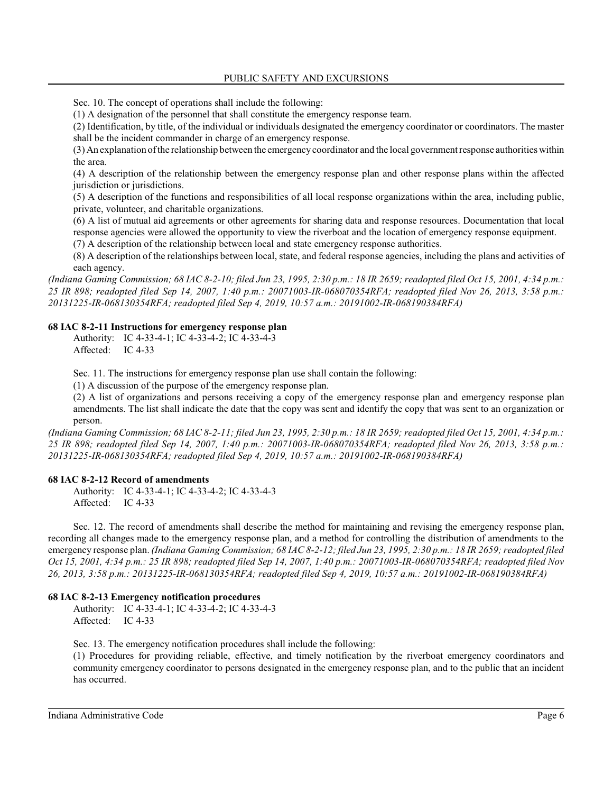Sec. 10. The concept of operations shall include the following:

(1) A designation of the personnel that shall constitute the emergency response team.

(2) Identification, by title, of the individual or individuals designated the emergency coordinator or coordinators. The master shall be the incident commander in charge of an emergency response.

(3) An explanation ofthe relationship between the emergency coordinator and the local government response authorities within the area.

(4) A description of the relationship between the emergency response plan and other response plans within the affected jurisdiction or jurisdictions.

(5) A description of the functions and responsibilities of all local response organizations within the area, including public, private, volunteer, and charitable organizations.

(6) A list of mutual aid agreements or other agreements for sharing data and response resources. Documentation that local response agencies were allowed the opportunity to view the riverboat and the location of emergency response equipment. (7) A description of the relationship between local and state emergency response authorities.

(8) A description of the relationships between local, state, and federal response agencies, including the plans and activities of each agency.

*(Indiana Gaming Commission; 68 IAC 8-2-10; filed Jun 23, 1995, 2:30 p.m.: 18 IR 2659; readopted filed Oct 15, 2001, 4:34 p.m.: 25 IR 898; readopted filed Sep 14, 2007, 1:40 p.m.: 20071003-IR-068070354RFA; readopted filed Nov 26, 2013, 3:58 p.m.: 20131225-IR-068130354RFA; readopted filed Sep 4, 2019, 10:57 a.m.: 20191002-IR-068190384RFA)*

#### **68 IAC 8-2-11 Instructions for emergency response plan**

Authority: IC 4-33-4-1; IC 4-33-4-2; IC 4-33-4-3 Affected: IC 4-33

Sec. 11. The instructions for emergency response plan use shall contain the following:

(1) A discussion of the purpose of the emergency response plan.

(2) A list of organizations and persons receiving a copy of the emergency response plan and emergency response plan amendments. The list shall indicate the date that the copy was sent and identify the copy that was sent to an organization or person.

*(Indiana Gaming Commission; 68 IAC 8-2-11; filed Jun 23, 1995, 2:30 p.m.: 18 IR 2659; readopted filed Oct 15, 2001, 4:34 p.m.: 25 IR 898; readopted filed Sep 14, 2007, 1:40 p.m.: 20071003-IR-068070354RFA; readopted filed Nov 26, 2013, 3:58 p.m.: 20131225-IR-068130354RFA; readopted filed Sep 4, 2019, 10:57 a.m.: 20191002-IR-068190384RFA)*

#### **68 IAC 8-2-12 Record of amendments**

Authority: IC 4-33-4-1; IC 4-33-4-2; IC 4-33-4-3 Affected: IC 4-33

Sec. 12. The record of amendments shall describe the method for maintaining and revising the emergency response plan, recording all changes made to the emergency response plan, and a method for controlling the distribution of amendments to the emergency response plan. *(Indiana Gaming Commission; 68 IAC 8-2-12; filed Jun 23, 1995, 2:30 p.m.: 18 IR 2659; readopted filed Oct 15, 2001, 4:34 p.m.: 25 IR 898; readopted filed Sep 14, 2007, 1:40 p.m.: 20071003-IR-068070354RFA; readopted filed Nov 26, 2013, 3:58 p.m.: 20131225-IR-068130354RFA; readopted filed Sep 4, 2019, 10:57 a.m.: 20191002-IR-068190384RFA)*

## **68 IAC 8-2-13 Emergency notification procedures**

Authority: IC 4-33-4-1; IC 4-33-4-2; IC 4-33-4-3 Affected: IC 4-33

Sec. 13. The emergency notification procedures shall include the following:

(1) Procedures for providing reliable, effective, and timely notification by the riverboat emergency coordinators and community emergency coordinator to persons designated in the emergency response plan, and to the public that an incident has occurred.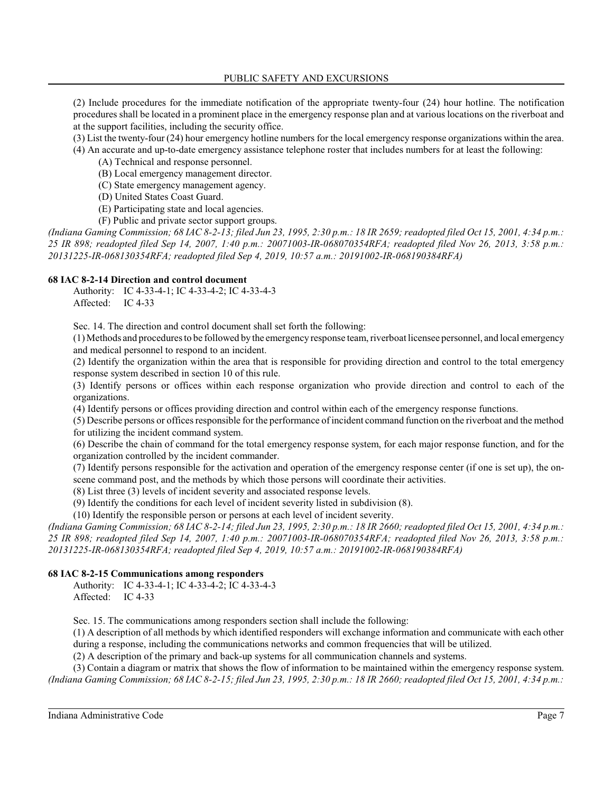(2) Include procedures for the immediate notification of the appropriate twenty-four (24) hour hotline. The notification procedures shall be located in a prominent place in the emergency response plan and at various locations on the riverboat and at the support facilities, including the security office.

(3) List the twenty-four (24) hour emergency hotline numbers for the local emergency response organizations within the area.

(4) An accurate and up-to-date emergency assistance telephone roster that includes numbers for at least the following:

(A) Technical and response personnel.

(B) Local emergency management director.

(C) State emergency management agency.

(D) United States Coast Guard.

(E) Participating state and local agencies.

(F) Public and private sector support groups.

*(Indiana Gaming Commission; 68 IAC 8-2-13; filed Jun 23, 1995, 2:30 p.m.: 18 IR 2659; readopted filed Oct 15, 2001, 4:34 p.m.: 25 IR 898; readopted filed Sep 14, 2007, 1:40 p.m.: 20071003-IR-068070354RFA; readopted filed Nov 26, 2013, 3:58 p.m.: 20131225-IR-068130354RFA; readopted filed Sep 4, 2019, 10:57 a.m.: 20191002-IR-068190384RFA)*

## **68 IAC 8-2-14 Direction and control document**

Authority: IC 4-33-4-1; IC 4-33-4-2; IC 4-33-4-3 Affected: IC 4-33

Sec. 14. The direction and control document shall set forth the following:

(1) Methods and procedures to be followed by the emergency response team, riverboat licensee personnel, and local emergency and medical personnel to respond to an incident.

(2) Identify the organization within the area that is responsible for providing direction and control to the total emergency response system described in section 10 of this rule.

(3) Identify persons or offices within each response organization who provide direction and control to each of the organizations.

(4) Identify persons or offices providing direction and control within each of the emergency response functions.

(5) Describe persons or offices responsible for the performance ofincident command function on the riverboat and the method for utilizing the incident command system.

(6) Describe the chain of command for the total emergency response system, for each major response function, and for the organization controlled by the incident commander.

(7) Identify persons responsible for the activation and operation of the emergency response center (if one is set up), the onscene command post, and the methods by which those persons will coordinate their activities.

(8) List three (3) levels of incident severity and associated response levels.

(9) Identify the conditions for each level of incident severity listed in subdivision (8).

(10) Identify the responsible person or persons at each level of incident severity.

*(Indiana Gaming Commission; 68 IAC 8-2-14; filed Jun 23, 1995, 2:30 p.m.: 18 IR 2660; readopted filed Oct 15, 2001, 4:34 p.m.: 25 IR 898; readopted filed Sep 14, 2007, 1:40 p.m.: 20071003-IR-068070354RFA; readopted filed Nov 26, 2013, 3:58 p.m.: 20131225-IR-068130354RFA; readopted filed Sep 4, 2019, 10:57 a.m.: 20191002-IR-068190384RFA)*

## **68 IAC 8-2-15 Communications among responders**

Authority: IC 4-33-4-1; IC 4-33-4-2; IC 4-33-4-3 Affected: IC 4-33

Sec. 15. The communications among responders section shall include the following:

(1) A description of all methods by which identified responders will exchange information and communicate with each other during a response, including the communications networks and common frequencies that will be utilized.

(2) A description of the primary and back-up systems for all communication channels and systems.

(3) Contain a diagram or matrix that shows the flow of information to be maintained within the emergency response system. *(Indiana Gaming Commission; 68 IAC 8-2-15; filed Jun 23, 1995, 2:30 p.m.: 18 IR 2660; readopted filed Oct 15, 2001, 4:34 p.m.:*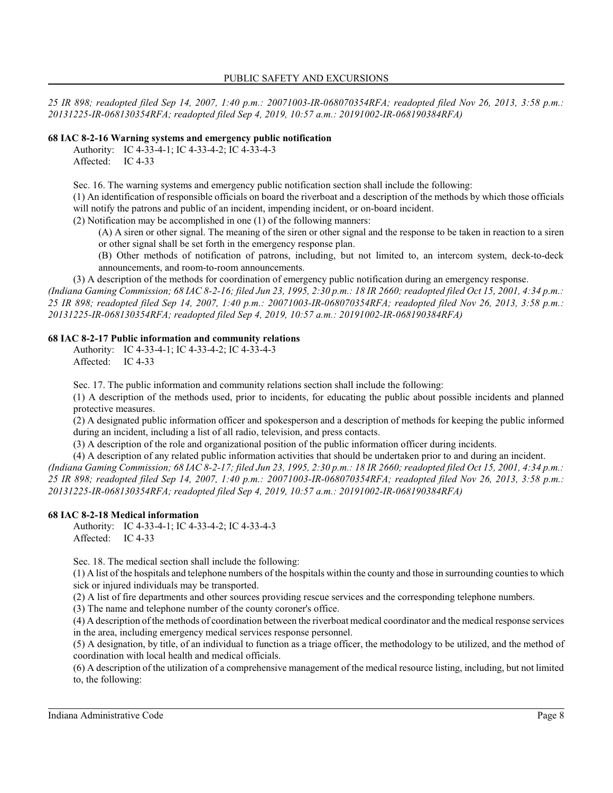*25 IR 898; readopted filed Sep 14, 2007, 1:40 p.m.: 20071003-IR-068070354RFA; readopted filed Nov 26, 2013, 3:58 p.m.: 20131225-IR-068130354RFA; readopted filed Sep 4, 2019, 10:57 a.m.: 20191002-IR-068190384RFA)*

### **68 IAC 8-2-16 Warning systems and emergency public notification**

Authority: IC 4-33-4-1; IC 4-33-4-2; IC 4-33-4-3 Affected: IC 4-33

Sec. 16. The warning systems and emergency public notification section shall include the following:

(1) An identification of responsible officials on board the riverboat and a description of the methods by which those officials will notify the patrons and public of an incident, impending incident, or on-board incident.

(2) Notification may be accomplished in one (1) of the following manners:

- (A) A siren or other signal. The meaning of the siren or other signal and the response to be taken in reaction to a siren or other signal shall be set forth in the emergency response plan.
- (B) Other methods of notification of patrons, including, but not limited to, an intercom system, deck-to-deck announcements, and room-to-room announcements.

(3) A description of the methods for coordination of emergency public notification during an emergency response.

*(Indiana Gaming Commission; 68 IAC 8-2-16; filed Jun 23, 1995, 2:30 p.m.: 18 IR 2660; readopted filed Oct 15, 2001, 4:34 p.m.: 25 IR 898; readopted filed Sep 14, 2007, 1:40 p.m.: 20071003-IR-068070354RFA; readopted filed Nov 26, 2013, 3:58 p.m.: 20131225-IR-068130354RFA; readopted filed Sep 4, 2019, 10:57 a.m.: 20191002-IR-068190384RFA)*

#### **68 IAC 8-2-17 Public information and community relations**

Authority: IC 4-33-4-1; IC 4-33-4-2; IC 4-33-4-3 Affected: IC 4-33

Sec. 17. The public information and community relations section shall include the following:

(1) A description of the methods used, prior to incidents, for educating the public about possible incidents and planned protective measures.

(2) A designated public information officer and spokesperson and a description of methods for keeping the public informed during an incident, including a list of all radio, television, and press contacts.

(3) A description of the role and organizational position of the public information officer during incidents.

(4) A description of any related public information activities that should be undertaken prior to and during an incident. *(Indiana Gaming Commission; 68 IAC 8-2-17; filed Jun 23, 1995, 2:30 p.m.: 18 IR 2660; readopted filed Oct 15, 2001, 4:34 p.m.:*

*25 IR 898; readopted filed Sep 14, 2007, 1:40 p.m.: 20071003-IR-068070354RFA; readopted filed Nov 26, 2013, 3:58 p.m.: 20131225-IR-068130354RFA; readopted filed Sep 4, 2019, 10:57 a.m.: 20191002-IR-068190384RFA)*

#### **68 IAC 8-2-18 Medical information**

Authority: IC 4-33-4-1; IC 4-33-4-2; IC 4-33-4-3 Affected: IC 4-33

Sec. 18. The medical section shall include the following:

(1) A list of the hospitals and telephone numbers of the hospitals within the county and those in surrounding counties to which sick or injured individuals may be transported.

(2) A list of fire departments and other sources providing rescue services and the corresponding telephone numbers.

(3) The name and telephone number of the county coroner's office.

(4) A description of the methods of coordination between the riverboat medical coordinator and the medical response services in the area, including emergency medical services response personnel.

(5) A designation, by title, of an individual to function as a triage officer, the methodology to be utilized, and the method of coordination with local health and medical officials.

(6) A description of the utilization of a comprehensive management of the medical resource listing, including, but not limited to, the following: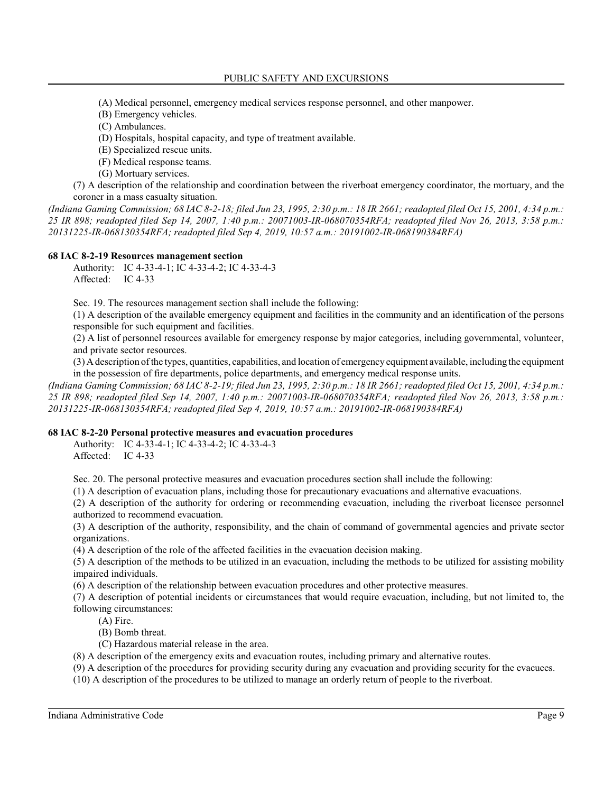(A) Medical personnel, emergency medical services response personnel, and other manpower.

- (B) Emergency vehicles.
- (C) Ambulances.
- (D) Hospitals, hospital capacity, and type of treatment available.
- (E) Specialized rescue units.
- (F) Medical response teams.
- (G) Mortuary services.

(7) A description of the relationship and coordination between the riverboat emergency coordinator, the mortuary, and the coroner in a mass casualty situation.

*(Indiana Gaming Commission; 68 IAC 8-2-18; filed Jun 23, 1995, 2:30 p.m.: 18 IR 2661; readopted filed Oct 15, 2001, 4:34 p.m.: 25 IR 898; readopted filed Sep 14, 2007, 1:40 p.m.: 20071003-IR-068070354RFA; readopted filed Nov 26, 2013, 3:58 p.m.: 20131225-IR-068130354RFA; readopted filed Sep 4, 2019, 10:57 a.m.: 20191002-IR-068190384RFA)*

## **68 IAC 8-2-19 Resources management section**

Authority: IC 4-33-4-1; IC 4-33-4-2; IC 4-33-4-3 Affected: IC 4-33

Sec. 19. The resources management section shall include the following:

(1) A description of the available emergency equipment and facilities in the community and an identification of the persons responsible for such equipment and facilities.

(2) A list of personnel resources available for emergency response by major categories, including governmental, volunteer, and private sector resources.

(3) Adescription ofthe types, quantities, capabilities, and location of emergency equipment available, including the equipment in the possession of fire departments, police departments, and emergency medical response units.

*(Indiana Gaming Commission; 68 IAC 8-2-19; filed Jun 23, 1995, 2:30 p.m.: 18 IR 2661; readopted filed Oct 15, 2001, 4:34 p.m.: 25 IR 898; readopted filed Sep 14, 2007, 1:40 p.m.: 20071003-IR-068070354RFA; readopted filed Nov 26, 2013, 3:58 p.m.: 20131225-IR-068130354RFA; readopted filed Sep 4, 2019, 10:57 a.m.: 20191002-IR-068190384RFA)*

## **68 IAC 8-2-20 Personal protective measures and evacuation procedures**

Authority: IC 4-33-4-1; IC 4-33-4-2; IC 4-33-4-3 Affected: IC 4-33

Sec. 20. The personal protective measures and evacuation procedures section shall include the following:

(1) A description of evacuation plans, including those for precautionary evacuations and alternative evacuations.

(2) A description of the authority for ordering or recommending evacuation, including the riverboat licensee personnel authorized to recommend evacuation.

(3) A description of the authority, responsibility, and the chain of command of governmental agencies and private sector organizations.

(4) A description of the role of the affected facilities in the evacuation decision making.

(5) A description of the methods to be utilized in an evacuation, including the methods to be utilized for assisting mobility impaired individuals.

(6) A description of the relationship between evacuation procedures and other protective measures.

(7) A description of potential incidents or circumstances that would require evacuation, including, but not limited to, the following circumstances:

- (A) Fire.
- (B) Bomb threat.
- (C) Hazardous material release in the area.

(8) A description of the emergency exits and evacuation routes, including primary and alternative routes.

(9) A description of the procedures for providing security during any evacuation and providing security for the evacuees.

(10) A description of the procedures to be utilized to manage an orderly return of people to the riverboat.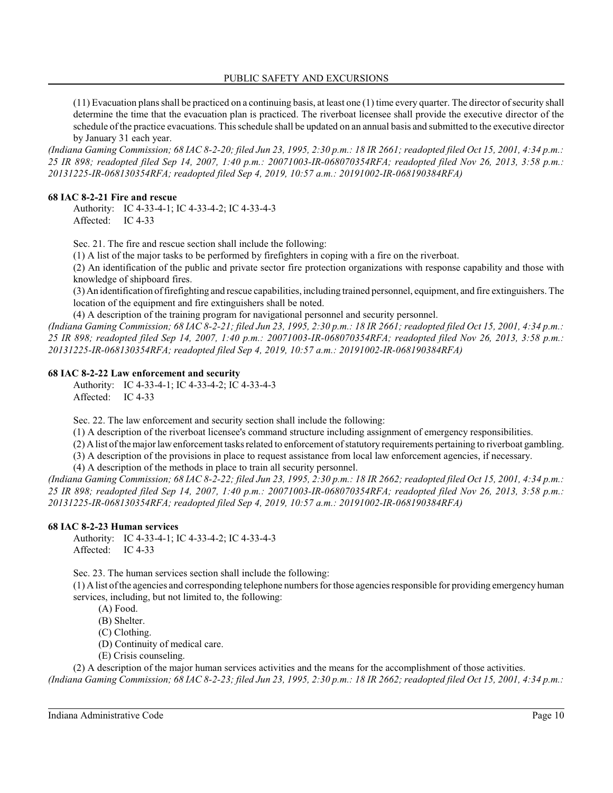(11) Evacuation plans shall be practiced on a continuing basis, at least one (1) time every quarter. The director ofsecurity shall determine the time that the evacuation plan is practiced. The riverboat licensee shall provide the executive director of the schedule ofthe practice evacuations. This schedule shall be updated on an annual basis and submitted to the executive director by January 31 each year.

*(Indiana Gaming Commission; 68 IAC 8-2-20; filed Jun 23, 1995, 2:30 p.m.: 18 IR 2661; readopted filed Oct 15, 2001, 4:34 p.m.: 25 IR 898; readopted filed Sep 14, 2007, 1:40 p.m.: 20071003-IR-068070354RFA; readopted filed Nov 26, 2013, 3:58 p.m.: 20131225-IR-068130354RFA; readopted filed Sep 4, 2019, 10:57 a.m.: 20191002-IR-068190384RFA)*

#### **68 IAC 8-2-21 Fire and rescue**

Authority: IC 4-33-4-1; IC 4-33-4-2; IC 4-33-4-3 Affected: IC 4-33

Sec. 21. The fire and rescue section shall include the following:

(1) A list of the major tasks to be performed by firefighters in coping with a fire on the riverboat.

(2) An identification of the public and private sector fire protection organizations with response capability and those with knowledge of shipboard fires.

(3) An identification offirefighting and rescue capabilities, including trained personnel, equipment, and fire extinguishers. The location of the equipment and fire extinguishers shall be noted.

(4) A description of the training program for navigational personnel and security personnel.

*(Indiana Gaming Commission; 68 IAC 8-2-21; filed Jun 23, 1995, 2:30 p.m.: 18 IR 2661; readopted filed Oct 15, 2001, 4:34 p.m.: 25 IR 898; readopted filed Sep 14, 2007, 1:40 p.m.: 20071003-IR-068070354RFA; readopted filed Nov 26, 2013, 3:58 p.m.: 20131225-IR-068130354RFA; readopted filed Sep 4, 2019, 10:57 a.m.: 20191002-IR-068190384RFA)*

#### **68 IAC 8-2-22 Law enforcement and security**

Authority: IC 4-33-4-1; IC 4-33-4-2; IC 4-33-4-3 Affected: IC 4-33

Sec. 22. The law enforcement and security section shall include the following:

(1) A description of the riverboat licensee's command structure including assignment of emergency responsibilities.

(2) A list ofthe major lawenforcement tasks related to enforcement ofstatutory requirements pertaining to riverboat gambling.

(3) A description of the provisions in place to request assistance from local law enforcement agencies, if necessary.

(4) A description of the methods in place to train all security personnel.

*(Indiana Gaming Commission; 68 IAC 8-2-22; filed Jun 23, 1995, 2:30 p.m.: 18 IR 2662; readopted filed Oct 15, 2001, 4:34 p.m.: 25 IR 898; readopted filed Sep 14, 2007, 1:40 p.m.: 20071003-IR-068070354RFA; readopted filed Nov 26, 2013, 3:58 p.m.: 20131225-IR-068130354RFA; readopted filed Sep 4, 2019, 10:57 a.m.: 20191002-IR-068190384RFA)*

## **68 IAC 8-2-23 Human services**

Authority: IC 4-33-4-1; IC 4-33-4-2; IC 4-33-4-3 Affected: IC 4-33

Sec. 23. The human services section shall include the following:

(1) A list ofthe agencies and corresponding telephone numbers for those agencies responsible for providing emergency human services, including, but not limited to, the following:

- (A) Food.
- (B) Shelter.
- (C) Clothing.
- (D) Continuity of medical care.
- (E) Crisis counseling.

(2) A description of the major human services activities and the means for the accomplishment of those activities. *(Indiana Gaming Commission; 68 IAC 8-2-23; filed Jun 23, 1995, 2:30 p.m.: 18 IR 2662; readopted filed Oct 15, 2001, 4:34 p.m.:*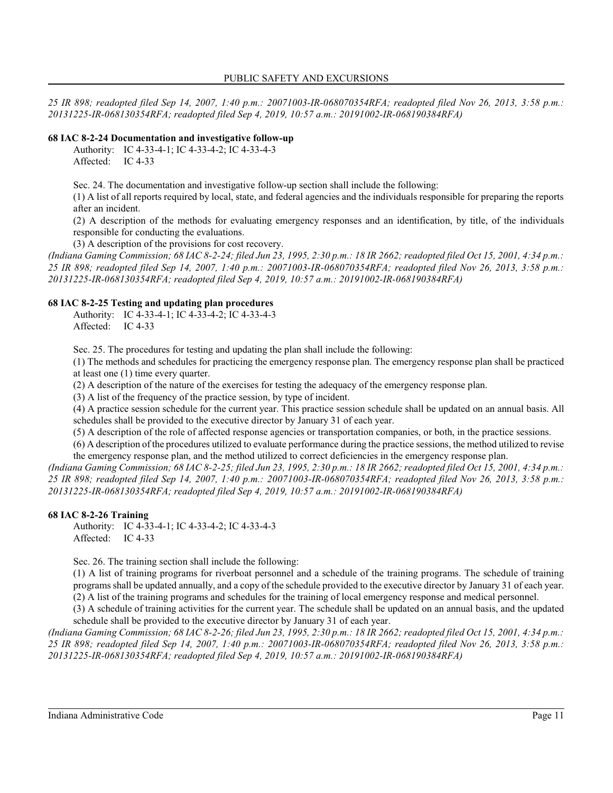*25 IR 898; readopted filed Sep 14, 2007, 1:40 p.m.: 20071003-IR-068070354RFA; readopted filed Nov 26, 2013, 3:58 p.m.: 20131225-IR-068130354RFA; readopted filed Sep 4, 2019, 10:57 a.m.: 20191002-IR-068190384RFA)*

## **68 IAC 8-2-24 Documentation and investigative follow-up**

Authority: IC 4-33-4-1; IC 4-33-4-2; IC 4-33-4-3 Affected: IC 4-33

Sec. 24. The documentation and investigative follow-up section shall include the following:

(1) A list of all reports required by local, state, and federal agencies and the individuals responsible for preparing the reports after an incident.

(2) A description of the methods for evaluating emergency responses and an identification, by title, of the individuals responsible for conducting the evaluations.

(3) A description of the provisions for cost recovery.

*(Indiana Gaming Commission; 68 IAC 8-2-24; filed Jun 23, 1995, 2:30 p.m.: 18 IR 2662; readopted filed Oct 15, 2001, 4:34 p.m.: 25 IR 898; readopted filed Sep 14, 2007, 1:40 p.m.: 20071003-IR-068070354RFA; readopted filed Nov 26, 2013, 3:58 p.m.: 20131225-IR-068130354RFA; readopted filed Sep 4, 2019, 10:57 a.m.: 20191002-IR-068190384RFA)*

## **68 IAC 8-2-25 Testing and updating plan procedures**

Authority: IC 4-33-4-1; IC 4-33-4-2; IC 4-33-4-3 Affected: IC 4-33

Sec. 25. The procedures for testing and updating the plan shall include the following:

(1) The methods and schedules for practicing the emergency response plan. The emergency response plan shall be practiced at least one (1) time every quarter.

(2) A description of the nature of the exercises for testing the adequacy of the emergency response plan.

(3) A list of the frequency of the practice session, by type of incident.

(4) A practice session schedule for the current year. This practice session schedule shall be updated on an annual basis. All schedules shall be provided to the executive director by January 31 of each year.

(5) A description of the role of affected response agencies or transportation companies, or both, in the practice sessions.

(6) A description of the procedures utilized to evaluate performance during the practice sessions, the method utilized to revise the emergency response plan, and the method utilized to correct deficiencies in the emergency response plan.

*(Indiana Gaming Commission; 68 IAC 8-2-25; filed Jun 23, 1995, 2:30 p.m.: 18 IR 2662; readopted filed Oct 15, 2001, 4:34 p.m.: 25 IR 898; readopted filed Sep 14, 2007, 1:40 p.m.: 20071003-IR-068070354RFA; readopted filed Nov 26, 2013, 3:58 p.m.: 20131225-IR-068130354RFA; readopted filed Sep 4, 2019, 10:57 a.m.: 20191002-IR-068190384RFA)*

## **68 IAC 8-2-26 Training**

Authority: IC 4-33-4-1; IC 4-33-4-2; IC 4-33-4-3 Affected: IC 4-33

Sec. 26. The training section shall include the following:

(1) A list of training programs for riverboat personnel and a schedule of the training programs. The schedule of training programs shall be updated annually, and a copy of the schedule provided to the executive director by January 31 of each year. (2) A list of the training programs and schedules for the training of local emergency response and medical personnel.

(3) A schedule of training activities for the current year. The schedule shall be updated on an annual basis, and the updated schedule shall be provided to the executive director by January 31 of each year.

*(Indiana Gaming Commission; 68 IAC 8-2-26; filed Jun 23, 1995, 2:30 p.m.: 18 IR 2662; readopted filed Oct 15, 2001, 4:34 p.m.: 25 IR 898; readopted filed Sep 14, 2007, 1:40 p.m.: 20071003-IR-068070354RFA; readopted filed Nov 26, 2013, 3:58 p.m.: 20131225-IR-068130354RFA; readopted filed Sep 4, 2019, 10:57 a.m.: 20191002-IR-068190384RFA)*